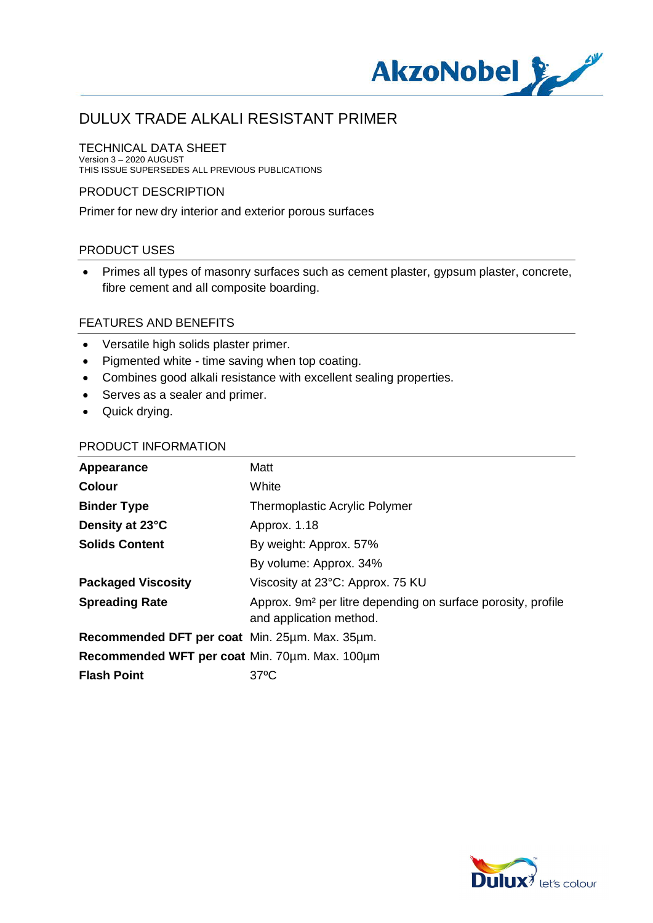

#### TECHNICAL DATA SHEET

Version 3 – 2020 AUGUST THIS ISSUE SUPERSEDES ALL PREVIOUS PUBLICATIONS

#### PRODUCT DESCRIPTION

Primer for new dry interior and exterior porous surfaces

### PRODUCT USES

· Primes all types of masonry surfaces such as cement plaster, gypsum plaster, concrete, fibre cement and all composite boarding.

#### FEATURES AND BENEFITS

- · Versatile high solids plaster primer.
- · Pigmented white time saving when top coating.
- · Combines good alkali resistance with excellent sealing properties.
- · Serves as a sealer and primer.
- · Quick drying.

#### PRODUCT INFORMATION

| Appearance                                     | Matt                                                                                                |
|------------------------------------------------|-----------------------------------------------------------------------------------------------------|
| <b>Colour</b>                                  | White                                                                                               |
| <b>Binder Type</b>                             | <b>Thermoplastic Acrylic Polymer</b>                                                                |
| Density at 23°C                                | Approx. 1.18                                                                                        |
| <b>Solids Content</b>                          | By weight: Approx. 57%                                                                              |
|                                                | By volume: Approx. 34%                                                                              |
| <b>Packaged Viscosity</b>                      | Viscosity at 23°C: Approx. 75 KU                                                                    |
| <b>Spreading Rate</b>                          | Approx. 9m <sup>2</sup> per litre depending on surface porosity, profile<br>and application method. |
| Recommended DFT per coat Min. 25um. Max. 35um. |                                                                                                     |
| Recommended WFT per coat Min. 70um. Max. 100um |                                                                                                     |
| <b>Flash Point</b>                             | $37^{\circ}$ C                                                                                      |

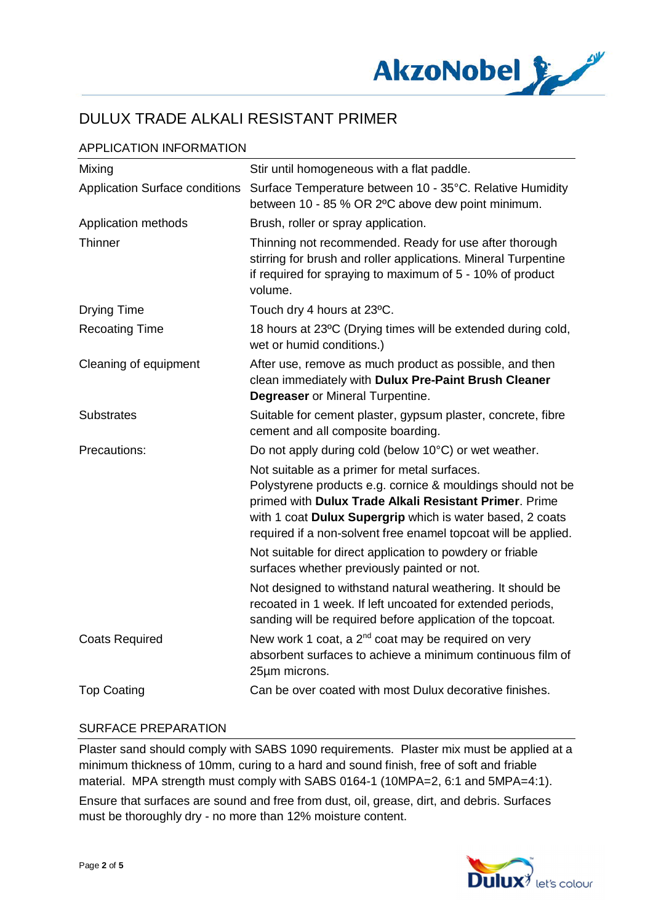

## APPLICATION INFORMATION

| Mixing                                | Stir until homogeneous with a flat paddle.                                                                                                                                                                                                                                                           |
|---------------------------------------|------------------------------------------------------------------------------------------------------------------------------------------------------------------------------------------------------------------------------------------------------------------------------------------------------|
| <b>Application Surface conditions</b> | Surface Temperature between 10 - 35°C. Relative Humidity<br>between 10 - 85 % OR 2°C above dew point minimum.                                                                                                                                                                                        |
| Application methods                   | Brush, roller or spray application.                                                                                                                                                                                                                                                                  |
| Thinner                               | Thinning not recommended. Ready for use after thorough<br>stirring for brush and roller applications. Mineral Turpentine<br>if required for spraying to maximum of 5 - 10% of product<br>volume.                                                                                                     |
| <b>Drying Time</b>                    | Touch dry 4 hours at 23°C.                                                                                                                                                                                                                                                                           |
| <b>Recoating Time</b>                 | 18 hours at 23°C (Drying times will be extended during cold,<br>wet or humid conditions.)                                                                                                                                                                                                            |
| Cleaning of equipment                 | After use, remove as much product as possible, and then<br>clean immediately with Dulux Pre-Paint Brush Cleaner<br><b>Degreaser</b> or Mineral Turpentine.                                                                                                                                           |
| <b>Substrates</b>                     | Suitable for cement plaster, gypsum plaster, concrete, fibre<br>cement and all composite boarding.                                                                                                                                                                                                   |
| Precautions:                          | Do not apply during cold (below 10°C) or wet weather.                                                                                                                                                                                                                                                |
|                                       | Not suitable as a primer for metal surfaces.<br>Polystyrene products e.g. cornice & mouldings should not be<br>primed with Dulux Trade Alkali Resistant Primer. Prime<br>with 1 coat Dulux Supergrip which is water based, 2 coats<br>required if a non-solvent free enamel topcoat will be applied. |
|                                       | Not suitable for direct application to powdery or friable<br>surfaces whether previously painted or not.                                                                                                                                                                                             |
|                                       | Not designed to withstand natural weathering. It should be<br>recoated in 1 week. If left uncoated for extended periods,<br>sanding will be required before application of the topcoat.                                                                                                              |
| <b>Coats Required</b>                 | New work 1 coat, a $2^{nd}$ coat may be required on very<br>absorbent surfaces to achieve a minimum continuous film of<br>25µm microns.                                                                                                                                                              |
| <b>Top Coating</b>                    | Can be over coated with most Dulux decorative finishes.                                                                                                                                                                                                                                              |

#### SURFACE PREPARATION

Plaster sand should comply with SABS 1090 requirements. Plaster mix must be applied at a minimum thickness of 10mm, curing to a hard and sound finish, free of soft and friable material. MPA strength must comply with SABS 0164-1 (10MPA=2, 6:1 and 5MPA=4:1). Ensure that surfaces are sound and free from dust, oil, grease, dirt, and debris. Surfaces must be thoroughly dry - no more than 12% moisture content.

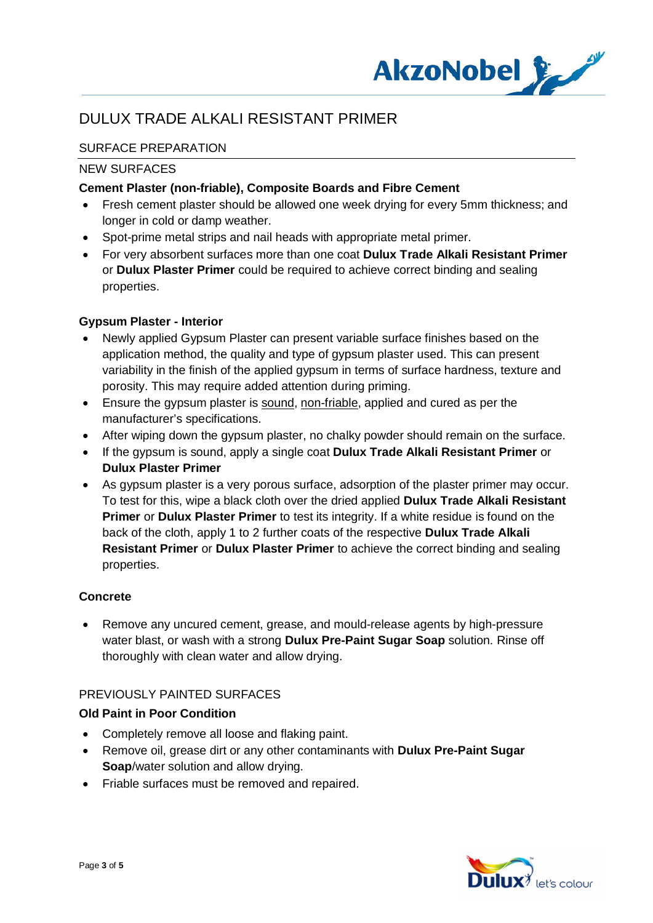

## SURFACE PREPARATION

#### NEW SURFACES

### **Cement Plaster (non-friable), Composite Boards and Fibre Cement**

- · Fresh cement plaster should be allowed one week drying for every 5mm thickness; and longer in cold or damp weather.
- · Spot-prime metal strips and nail heads with appropriate metal primer.
- · For very absorbent surfaces more than one coat **Dulux Trade Alkali Resistant Primer** or **Dulux Plaster Primer** could be required to achieve correct binding and sealing properties.

### **Gypsum Plaster - Interior**

- · Newly applied Gypsum Plaster can present variable surface finishes based on the application method, the quality and type of gypsum plaster used. This can present variability in the finish of the applied gypsum in terms of surface hardness, texture and porosity. This may require added attention during priming.
- · Ensure the gypsum plaster is sound, non-friable, applied and cured as per the manufacturer's specifications.
- After wiping down the gypsum plaster, no chalky powder should remain on the surface.
- · If the gypsum is sound, apply a single coat **Dulux Trade Alkali Resistant Primer** or **Dulux Plaster Primer**
- · As gypsum plaster is a very porous surface, adsorption of the plaster primer may occur. To test for this, wipe a black cloth over the dried applied **Dulux Trade Alkali Resistant Primer** or **Dulux Plaster Primer** to test its integrity. If a white residue is found on the back of the cloth, apply 1 to 2 further coats of the respective **Dulux Trade Alkali Resistant Primer** or **Dulux Plaster Primer** to achieve the correct binding and sealing properties.

#### **Concrete**

· Remove any uncured cement, grease, and mould-release agents by high-pressure water blast, or wash with a strong **Dulux Pre-Paint Sugar Soap** solution. Rinse off thoroughly with clean water and allow drying.

#### PREVIOUSLY PAINTED SURFACES

#### **Old Paint in Poor Condition**

- · Completely remove all loose and flaking paint.
- · Remove oil, grease dirt or any other contaminants with **Dulux Pre-Paint Sugar Soap**/water solution and allow drying.
- · Friable surfaces must be removed and repaired.

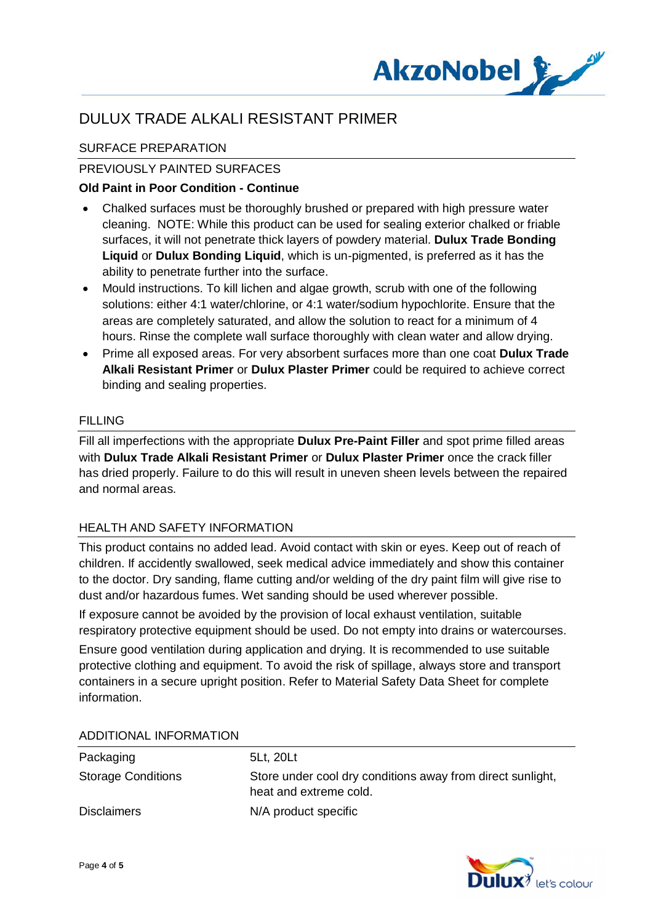

## SURFACE PREPARATION

## PREVIOUSLY PAINTED SURFACES

### **Old Paint in Poor Condition - Continue**

- · Chalked surfaces must be thoroughly brushed or prepared with high pressure water cleaning. NOTE: While this product can be used for sealing exterior chalked or friable surfaces, it will not penetrate thick layers of powdery material. **Dulux Trade Bonding Liquid** or **Dulux Bonding Liquid**, which is un-pigmented, is preferred as it has the ability to penetrate further into the surface.
- · Mould instructions. To kill lichen and algae growth, scrub with one of the following solutions: either 4:1 water/chlorine, or 4:1 water/sodium hypochlorite. Ensure that the areas are completely saturated, and allow the solution to react for a minimum of 4 hours. Rinse the complete wall surface thoroughly with clean water and allow drying.
- · Prime all exposed areas. For very absorbent surfaces more than one coat **Dulux Trade Alkali Resistant Primer** or **Dulux Plaster Primer** could be required to achieve correct binding and sealing properties.

#### FILLING

Fill all imperfections with the appropriate **Dulux Pre-Paint Filler** and spot prime filled areas with **Dulux Trade Alkali Resistant Primer** or **Dulux Plaster Primer** once the crack filler has dried properly. Failure to do this will result in uneven sheen levels between the repaired and normal areas.

#### HEALTH AND SAFETY INFORMATION

This product contains no added lead. Avoid contact with skin or eyes. Keep out of reach of children. If accidently swallowed, seek medical advice immediately and show this container to the doctor. Dry sanding, flame cutting and/or welding of the dry paint film will give rise to dust and/or hazardous fumes. Wet sanding should be used wherever possible.

If exposure cannot be avoided by the provision of local exhaust ventilation, suitable respiratory protective equipment should be used. Do not empty into drains or watercourses.

Ensure good ventilation during application and drying. It is recommended to use suitable protective clothing and equipment. To avoid the risk of spillage, always store and transport containers in a secure upright position. Refer to Material Safety Data Sheet for complete information.

| Packaging                 | 5Lt, 20Lt                                                                            |
|---------------------------|--------------------------------------------------------------------------------------|
| <b>Storage Conditions</b> | Store under cool dry conditions away from direct sunlight,<br>heat and extreme cold. |
| <b>Disclaimers</b>        | N/A product specific                                                                 |

#### ADDITIONAL INFORMATION